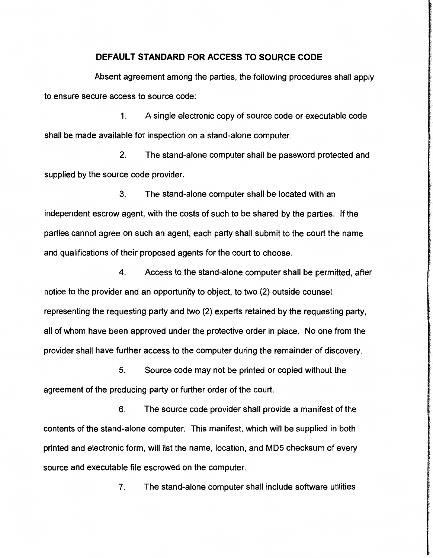## **DEFAULT STANDARD FOR ACCESS TO SOURCE CODE**

Absent agreement among the parties, the following procedures shall apply to ensure secure access to source code:

1. A single electronic copy of source code or executable code shall be made available for inspection on a stand-alone computer.

2. The stand-alone computer shall be password protected and supplied by the source code provider.

3. The stand-alone computer shall be located with an independent escrow agent, with the costs of such to be shared by the parties. If the parties cannot agree on such an agent, each party shall submit to the court the name and qualifications of their proposed agents for the court to choose.

4. Access to the stand-alone computer shall be permitted, after notice to the provider and an opportunity to object, to two (2) outside counsel representing the requesting party and two (2) experts retained by the requesting party, all of whom have been approved under the protective order in place. No one from the provider shall have further access to the computer during the remainder of discovery.

5. Source code may not be printed or copied without the agreement of the producing party or further order of the court.

6. The source code provider shall provide a manifest of the contents of the stand-alone computer. This manifest, which will be supplied in both printed and electronic form, will list the name, location, and MD5 checksum of every source and executable file escrowed on the computer.

7. The stand-alone computer shall include software utilities